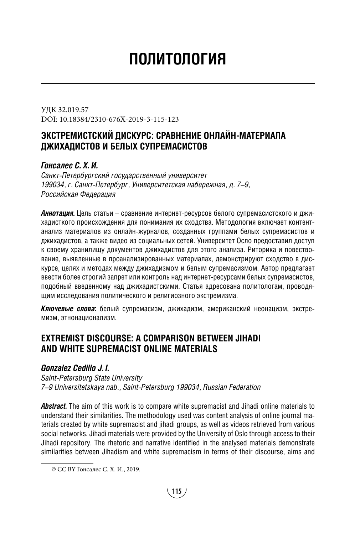# ПОЛИТОЛОГИЯ

УДК 32.019.57 DOI: 10.18384/2310-676X-2019-3-115-123

# ЭКСТРЕМИСТСКИЙ ДИСКУРС: СРАВНЕНИЕ ОНЛАЙН-МАТЕРИАЛА ДЖИХАДИСТОВ И БЕЛЫХ СУПРЕМАСИСТОВ

## *Гонсалес С. Х. И.*

*Санкт-Петербургский государственный университет 199034, г. Санкт-Петербург, Университетская набережная, д. 7–9, Российская Федерация*

*Аннотация.* Цель статьи – сравнение интернет-ресурсов белого супремасистского и джихадисткого происхождения для понимания их сходства. Методология включает контентанализ материалов из онлайн-журналов, созданных группами белых супремасистов и джихадистов, а также видео из социальных сетей. Университет Осло предоставил доступ к своему хранилищу документов джихадистов для этого анализа. Риторика и повествование, выявленные в проанализированных материалах, демонстрируют сходство в дискурсе, целях и методах между джихадизмом и белым супремасизмом. Автор предлагает ввести более строгий запрет или контроль над интернет-ресурсами белых супремасистов, подобный введенному над джихадистскими. Статья адресована политологам, проводящим исследования политического и религиозного экстремизма.

*Ключевые слова***:** белый супремасизм, джихадизм, американский неонацизм, экстремизм, этнонационализм. 1

## **EXTREMIST DISCOURSE: A COMPARISON BETWEEN JIHADI AND WHITE SUPREMACIST ONLINE MATERIALS**

## *Gonzalez Cedillo J. I.*

*Saint-Petersburg State University 7–9 Universitetskaya nab., Saint-Petersburg 199034, Russian Federation*

*Abstract.* The aim of this work is to compare white supremacist and Jihadi online materials to understand their similarities. The methodology used was content analysis of online journal materials created by white supremacist and jihadi groups, as well as videos retrieved from various social networks. Jihadi materials were provided by the University of Oslo through access to their Jihadi repository. The rhetoric and narrative identified in the analysed materials demonstrate similarities between Jihadism and white supremacism in terms of their discourse, aims and

<sup>©</sup> CC BY Гонсалес С. Х. И., 2019.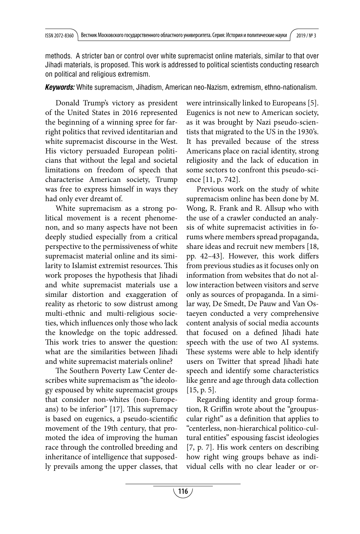methods. A stricter ban or control over white supremacist online materials, similar to that over Jihadi materials, is proposed. This work is addressed to political scientists conducting research on political and religious extremism.

*Keywords:* White supremacism, Jihadism, American neo-Nazism, extremism, ethno-nationalism.

Donald Trump's victory as president of the United States in 2016 represented the beginning of a winning spree for farright politics that revived identitarian and white supremacist discourse in the West. His victory persuaded European politicians that without the legal and societal limitations on freedom of speech that characterise American society, Trump was free to express himself in ways they had only ever dreamt of.

White supremacism as a strong political movement is a recent phenomenon, and so many aspects have not been deeply studied especially from a critical perspective to the permissiveness of white supremacist material online and its similarity to Islamist extremist resources. This work proposes the hypothesis that Jihadi and white supremacist materials use a similar distortion and exaggeration of reality as rhetoric to sow distrust among multi-ethnic and multi-religious societies, which influences only those who lack the knowledge on the topic addressed. This work tries to answer the question: what are the similarities between Jihadi and white supremacist materials online?

The Southern Poverty Law Center describes white supremacism as "the ideology espoused by white supremacist groups that consider non-whites (non-Europeans) to be inferior" [17]. This supremacy is based on eugenics, a pseudo-scientific movement of the 19th century, that promoted the idea of improving the human race through the controlled breeding and inheritance of intelligence that supposedly prevails among the upper classes, that were intrinsically linked to Europeans [5]. Eugenics is not new to American society, as it was brought by Nazi pseudo-scientists that migrated to the US in the 1930's. It has prevailed because of the stress Americans place on racial identity, strong religiosity and the lack of education in some sectors to confront this pseudo-science [11, p. 742].

Previous work on the study of white supremacism online has been done by M. Wong, R. Frank and R. Allsup who with the use of a crawler conducted an analysis of white supremacist activities in forums where members spread propaganda, share ideas and recruit new members [18, pp. 42-43]. However, this work differs from previous studies as it focuses only on information from websites that do not allow interaction between visitors and serve only as sources of propaganda. In a similar way, De Smedt, De Pauw and Van Ostaeyen conducted a very comprehensive content analysis of social media accounts that focused on a defined Jihadi hate speech with the use of two AI systems. These systems were able to help identify users on Twitter that spread Jihadi hate speech and identify some characteristics like genre and age through data collection  $[15, p. 5]$ .

Regarding identity and group formation, R Griffin wrote about the "groupuscular right" as a definition that applies to "centerless, non-hierarchical politico-cultural entities" espousing fascist ideologies [7, p. 7]. His work centers on describing how right wing groups behave as individual cells with no clear leader or or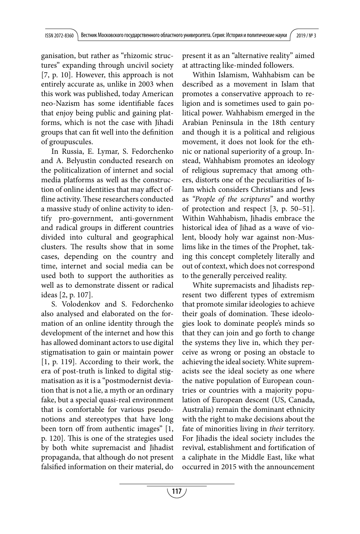ganisation, but rather as "rhizomic structures" expanding through uncivil society [7, p. 10]. However, this approach is not entirely accurate as, unlike in 2003 when this work was published, today American neo-Nazism has some identifiable faces that enjoy being public and gaining platforms, which is not the case with Jihadi groups that can fit well into the definition of groupuscules.

In Russia, E. Lymar, S. Fedorchenko and A. Belyustin conducted research on the politicalization of internet and social media platforms as well as the construction of online identities that may affect offline activity. These researchers conducted a massive study of online activity to identify pro-government, anti-government and radical groups in different countries divided into cultural and geographical clusters. The results show that in some cases, depending on the country and time, internet and social media can be used both to support the authorities as well as to demonstrate dissent or radical ideas [2, p. 107].

S. Volodenkov and S. Fedorchenko also analysed and elaborated on the formation of an online identity through the development of the internet and how this has allowed dominant actors to use digital stigmatisation to gain or maintain power [1, p. 119]. According to their work, the era of post-truth is linked to digital stigmatisation as it is a "postmodernist deviation that is not a lie, a myth or an ordinary fake, but a special quasi-real environment that is comfortable for various pseudonotions and stereotypes that have long been torn off from authentic images" [1, p. 120]. This is one of the strategies used by both white supremacist and Jihadist propaganda, that although do not present falsified information on their material, do

present it as an "alternative reality" aimed at attracting like-minded followers.

Within Islamism, Wahhabism can be described as a movement in Islam that promotes a conservative approach to religion and is sometimes used to gain political power. Wahhabism emerged in the Arabian Peninsula in the 18th century and though it is a political and religious movement, it does not look for the ethnic or national superiority of a group. Instead, Wahhabism promotes an ideology of religious supremacy that among others, distorts one of the peculiarities of Islam which considers Christians and Jews as "People of the scriptures" and worthy of protection and respect [3, p. 50–51]. Within Wahhabism, Jihadis embrace the historical idea of Iihad as a wave of violent, bloody holy war against non-Muslims like in the times of the Prophet, taking this concept completely literally and out of context, which does not correspond to the generally perceived reality.

White supremacists and Jihadists represent two different types of extremism that promote similar ideologies to achieve their goals of domination. These ideologies look to dominate people's minds so that they can join and go forth to change the systems they live in, which they perceive as wrong or posing an obstacle to achieving the ideal society. White supremacists see the ideal society as one where the native population of European countries or countries with a majority population of European descent (US, Canada, Australia) remain the dominant ethnicity with the right to make decisions about the fate of minorities living in their territory. For Jihadis the ideal society includes the revival, establishment and fortification of a caliphate in the Middle East, like what occurred in 2015 with the announcement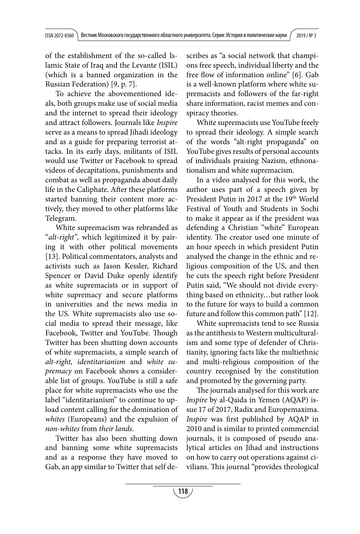of the establishment of the so-called Islamic State of Iraq and the Levante (ISIL) (which is a banned organization in the Russian Federation) [9, p. 7].

To achieve the abovementioned ideals, both groups make use of social media and the internet to spread their ideology and attract followers. Journals like Inspire serve as a means to spread Jihadi ideology and as a guide for preparing terrorist attacks. In its early days, militants of ISIL would use Twitter or Facebook to spread videos of decapitations, punishments and combat as well as propaganda about daily life in the Caliphate. After these platforms started banning their content more actively, they moved to other platforms like Telegram.

White supremacism was rebranded as "alt-right", which legitimized it by pairing it with other political movements [13]. Political commentators, analysts and activists such as Jason Kessler, Richard Spencer or David Duke openly identify as white supremacists or in support of white supremacy and secure platforms in universities and the news media in the US. White supremacists also use social media to spread their message, like Facebook, Twitter and YouTube. Though Twitter has been shutting down accounts of white supremacists, a simple search of alt-right, identitarianism and white supremacy on Facebook shows a considerable list of groups. YouTube is still a safe place for white supremacists who use the label "identitarianism" to continue to upload content calling for the domination of whites (Europeans) and the expulsion of non-whites from their lands.

Twitter has also been shutting down and banning some white supremacists and as a response they have moved to Gab, an app similar to Twitter that self describes as "a social network that champions free speech, individual liberty and the free flow of information online" [6]. Gab is a well-known platform where white supremacists and followers of the far-right share information, racist memes and conspiracy theories.

White supremacists use YouTube freely to spread their ideology. A simple search of the words "alt-right propaganda" on YouTube gives results of personal accounts of individuals praising Nazism, ethnonationalism and white supremacism.

In a video analysed for this work, the author uses part of a speech given by President Putin in 2017 at the 19<sup>th</sup> World Festival of Youth and Students in Sochi to make it appear as if the president was defending a Christian "white" European identity. The creator used one minute of an hour speech in which president Putin analysed the change in the ethnic and religious composition of the US, and then he cuts the speech right before President Putin said, "We should not divide everything based on ethnicity…but rather look to the future for ways to build a common future and follow this common path" [12].

White supremacists tend to see Russia as the antithesis to Western multiculturalism and some type of defender of Christianity, ignoring facts like the multiethnic and multi-religious composition of the country recognised by the constitution and promoted by the governing party.

The journals analysed for this work are Inspire by al-Qaida in Yemen (AQAP) issue 17 of 2017, Radix and Europemaxima. Inspire was first published by AQAP in 2010 and is similar to printed commercial journals, it is composed of pseudo analytical articles on Jihad and instructions on how to carry out operations against civilians. This journal "provides theological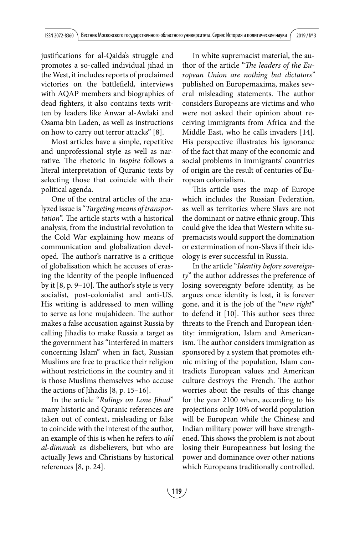justifications for al-Qaida's struggle and promotes a so-called individual jihad in the West, it includes reports of proclaimed victories on the battlefield, interviews with AQAP members and biographies of dead fighters, it also contains texts written by leaders like Anwar al-Awlaki and Osama bin Laden, as well as instructions on how to carry out terror attacks" [8].

Most articles have a simple, repetitive and unprofessional style as well as narrative. The rhetoric in *Inspire* follows a literal interpretation of Quranic texts by selecting those that coincide with their political agenda.

One of the central articles of the analyzed issue is "Targeting means of transportation". The article starts with a historical analysis, from the industrial revolution to the Cold War explaining how means of communication and globalization developed. The author's narrative is a critique of globalisation which he accuses of erasing the identity of the people influenced by it  $[8, p. 9-10]$ . The author's style is very socialist, post-colonialist and anti-US. His writing is addressed to men willing to serve as lone mujahideen. The author makes a false accusation against Russia by calling Jihadis to make Russia a target as the government has "interfered in matters concerning Islam" when in fact, Russian Muslims are free to practice their religion without restrictions in the country and it is those Muslims themselves who accuse the actions of Jihadis [8, p. 15–16].

In the article "Rulings on Lone Jihad" many historic and Quranic references are taken out of context, misleading or false to coincide with the interest of the author, an example of this is when he refers to ahl al-dimmah as disbelievers, but who are actually Jews and Christians by historical references [8, p. 24].

In white supremacist material, the author of the article "The leaders of the European Union are nothing but dictators" published on Europemaxima, makes several misleading statements. The author considers Europeans are victims and who were not asked their opinion about receiving immigrants from Africa and the Middle East, who he calls invaders [14]. His perspective illustrates his ignorance of the fact that many of the economic and social problems in immigrants' countries of origin are the result of centuries of European colonialism.

This article uses the map of Europe which includes the Russian Federation, as well as territories where Slavs are not the dominant or native ethnic group. This could give the idea that Western white supremacists would support the domination or extermination of non-Slavs if their ideology is ever successful in Russia.

In the article "Identity before sovereignty" the author addresses the preference of losing sovereignty before identity, as he argues once identity is lost, it is forever gone, and it is the job of the "new right" to defend it  $[10]$ . This author sees three threats to the French and European identity: immigration, Islam and Americanism. The author considers immigration as sponsored by a system that promotes ethnic mixing of the population, Islam contradicts European values and American culture destroys the French. The author worries about the results of this change for the year 2100 when, according to his projections only 10% of world population will be European while the Chinese and Indian military power will have strengthened. This shows the problem is not about losing their Europeanness but losing the power and dominance over other nations which Europeans traditionally controlled.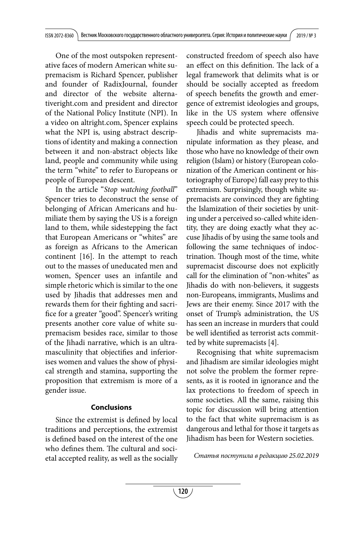One of the most outspoken representative faces of modern American white supremacism is Richard Spencer, publisher and founder of RadixJournal, founder and director of the website alternativeright.com and president and director of the National Policy Institute (NPI). In a video on altright.com, Spencer explains what the NPI is, using abstract descriptions of identity and making a connection between it and non-abstract objects like land, people and community while using the term "white" to refer to Europeans or people of European descent.

In the article "Stop watching football" Spencer tries to deconstruct the sense of belonging of African Americans and humiliate them by saying the US is a foreign land to them, while sidestepping the fact that European Americans or "whites" are as foreign as Africans to the American continent [16]. In the attempt to reach out to the masses of uneducated men and women, Spencer uses an infantile and simple rhetoric which is similar to the one used by Jihadis that addresses men and rewards them for their fighting and sacrifice for a greater "good". Spencer's writing presents another core value of white supremacism besides race, similar to those of the Jihadi narrative, which is an ultramasculinity that objectifies and inferiorises women and values the show of physical strength and stamina, supporting the proposition that extremism is more of a gender issue.

#### **Conclusions**

Since the extremist is defined by local traditions and perceptions, the extremist is defined based on the interest of the one who defines them. The cultural and societal accepted reality, as well as the socially constructed freedom of speech also have an effect on this definition. The lack of a legal framework that delimits what is or should be socially accepted as freedom of speech benefits the growth and emergence of extremist ideologies and groups, like in the US system where offensive speech could be protected speech.

Jihadis and white supremacists manipulate information as they please, and those who have no knowledge of their own religion (Islam) or history (European colonization of the American continent or historiography of Europe) fall easy prey to this extremism. Surprisingly, though white supremacists are convinced they are fighting the Islamization of their societies by uniting under a perceived so-called white identity, they are doing exactly what they accuse Jihadis of by using the same tools and following the same techniques of indoctrination. Though most of the time, white supremacist discourse does not explicitly call for the elimination of "non-whites" as Jihadis do with non-believers, it suggests non-Europeans, immigrants, Muslims and Jews are their enemy. Since 2017 with the onset of Trump's administration, the US has seen an increase in murders that could be well identified as terrorist acts committed by white supremacists [4].

Recognising that white supremacism and Jihadism are similar ideologies might not solve the problem the former represents, as it is rooted in ignorance and the lax protections to freedom of speech in some societies. All the same, raising this topic for discussion will bring attention to the fact that white supremacism is as dangerous and lethal for those it targets as Jihadism has been for Western societies.

Статья поступила в редакцию 25.02.2019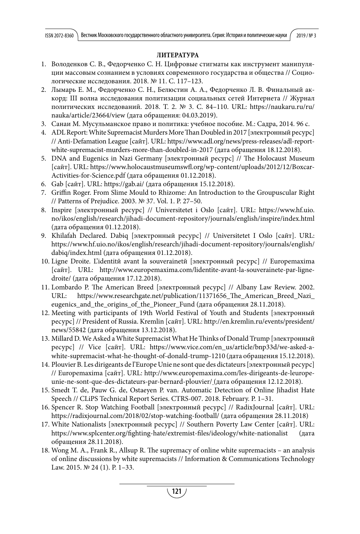## **ЛИТЕРАТУРА**

- 1. Володенков С. В., Федорченко С. Н. Цифровые стигматы как инструмент манипуляции массовым сознанием в условиях современного государства и общества // Социологические исследования. 2018. № 11. С. 117–123.
- 2. Лымарь Е. М., Федорченко С. Н., Белюстин А. А., Федорченко Л. В. Финальный аккорд: III волна исследования политизации социальных сетей Интернета // Журнал политических исследований. 2018. Т. 2. № 3. С. 84–110. URL: https://naukaru.ru/ru/ nauka/article/23664/view (дата обращения: 04.03.2019).
- 3. Санаи М. Мусульманское право и политика: учебное пособие. M.: Садра, 2014. 96 c.
- 4. ADL Report: White Supremacist Murders More Than Doubled in 2017 [электронный ресурс] // Anti-Defamation League [сайт]. URL: https://www.adl.org/news/press-releases/adl-reportwhite-supremacist-murders-more-than-doubled-in-2017 (дата обращения 18.12.2018).
- 5. DNA and Eugenics in Nazi Germany [электронный ресурс] // The Holocaust Museum [сайт]. URL: https://www.holocaustmuseumswfl .org/wp-content/uploads/2012/12/Boxcar-Activities-for-Science.pdf (дата обращения 01.12.2018).
- 6. Gab [сайт]. URL: https://gab.ai/ (дата обращения 15.12.2018).
- 7. Griffin Roger. From Slime Mould to Rhizome: An Introduction to the Groupuscular Right // Patterns of Prejudice. 2003. № 37. Vol. 1. P. 27–50.
- 8. Inspire [электронный ресурс] // Universitetet i Oslo [сайт]. URL: https://www.hf.uio. no/ikos/english/research/jihadi-document-repository/journals/english/inspire/index.html (дата обращения 01.12.2018).
- 9. Khilafah Declared. Dabiq [электронный ресурс] // Universitetet I Oslo [сайт]. URL: https://www.hf.uio.no/ikos/english/research/jihadi-document-repository/journals/english/ dabiq/index.html (дата обращения 01.12.2018).
- 10. Ligne Droite. L'identitй avant la souverainetй [электронный ресурс] // Europemaxima [сайт]. URL: http://www.europemaxima.com/lidentite-avant-la-souverainete-par-lignedroite/ (дата обращения 17.12.2018).
- 11. Lombardo P. The American Breed [электронный ресурс] // Albany Law Review. 2002. URL: https://www.researchgate.net/publication/11371656\_The\_American\_Breed\_Nazi\_ eugenics\_and\_the\_origins\_of\_the\_Pioneer\_Fund (дата обращения 28.11.2018).
- 12. Meeting with participants of 19th World Festival of Youth and Students [электронный ресурс] // President of Russia. Kremlin [сайт]. URL: http://en.kremlin.ru/events/president/ news/55842 (дата обращения 13.12.2018).
- 13. Millard D. We Asked a White Supremacist What He Thinks of Donald Trump [электронный ресурс] // Vice [сайт]. URL: https://www.vice.com/en\_us/article/bnp33d/we-asked-awhite-supremacist-what-he-thought-of-donald-trump-1210 (дата обращения 15.12.2018).
- 14. Plouvier B. Les dirigeants de l'Europe Unie ne sont que des dictateurs [электронный ресурс] // Europemaxima [сайт]. URL: http://www.europemaxima.com/les-dirigeants-de-leuropeunie-ne-sont-que-des-dictateurs-par-bernard-plouvier/ (дата обращения 12.12.2018).
- 15. Smedt T. de, Pauw G. de, Ostaeyen P. van. Automatic Detection of Online Jihadist Hate Speech // CLiPS Technical Report Series. CTRS-007. 2018. February. P. 1–31.
- 16. Spencer R. Stop Watching Football [электронный ресурс] // RadixJournal [сайт]. URL: https://radixjournal.com/2018/02/stop-watching-football/ (дата обращения 28.11.2018)
- 17. White Nationalists [электронный ресурс] // Southern Poverty Law Center [сайт]. URL: https://www.splcenter.org/fighting-hate/extremist-files/ideology/white-nationalist обращения 28.11.2018).
- 18. Wong M. A., Frank R., Allsup R. The supremacy of online white supremacists an analysis of online discussions by white supremacists // Information & Communications Technology Law. 2015. № 24 (1). P. 1–33.

**121**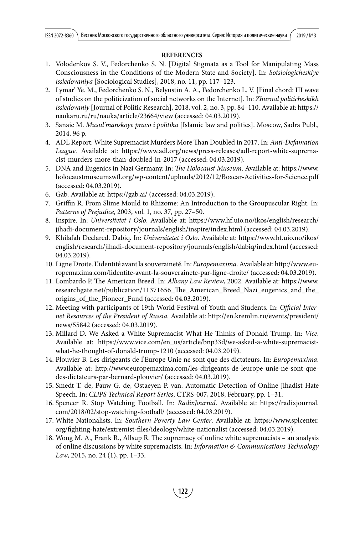### **REFERENCES**

- 1. Volodenkov S. V., Fedorchenko S. N. [Digital Stigmata as a Tool for Manipulating Mass Consciousness in the Conditions of the Modern State and Society]. In: Sotsiologicheskiye issledovaniya [Sociological Studies], 2018, no. 11, pp. 117–123.
- 2. Lymar' Ye. M., Fedorchenko S. N., Belyustin A. A., Fedorchenko L. V. [Final chord: III wave of studies on the politicization of social networks on the Internet]. In: Zhurnal politicheskikh issledovaniy [Journal of Politic Research], 2018, vol. 2, no. 3, pp. 84–110. Available at: https:// naukaru.ru/ru/nauka/article/23664/view (accessed: 04.03.2019).
- 3. Sanaie M. Musul'manskoye pravo i politika [Islamic law and politics]. Moscow, Sadra Publ., 2014. 96 p.
- 4. ADL Report: White Supremacist Murders More Than Doubled in 2017. In: Anti-Defamation League. Available at: https://www.adl.org/news/press-releases/adl-report-white-supremacist-murders-more-than-doubled-in-2017 (accessed: 04.03.2019).
- 5. DNA and Eugenics in Nazi Germany. In: The Holocaust Museum. Available at: https://www. holocaustmuseumswfl .org/wp-content/uploads/2012/12/Boxcar-Activities-for-Science.pdf (accessed: 04.03.2019).
- 6. Gab. Available at: https://gab.ai/ (accessed: 04.03.2019).
- 7. Griffin R. From Slime Mould to Rhizome: An Introduction to the Groupuscular Right. In: Patterns of Prejudice, 2003, vol. 1, no. 37, pp. 27–50.
- 8. Inspire. In: Universitetet i Oslo. Available at: https://www.hf.uio.no/ikos/english/research/ jihadi-document-repository/journals/english/inspire/index.html (accessed: 04.03.2019).
- 9. Khilafah Declared. Dabiq. In: Universitetet i Oslo. Available at: https://www.hf.uio.no/ikos/ english/research/jihadi-document-repository/journals/english/dabiq/index.html (accessed: 04.03.2019).
- 10. Ligne Droite. L'identité avant la souveraineté. In: Europemaxima. Available at: http://www.europemaxima.com/lidentite-avant-la-souverainete-par-ligne-droite/ (accessed: 04.03.2019).
- 11. Lombardo P. The American Breed. In: Albany Law Review, 2002. Available at: https://www. researchgate.net/publication/11371656\_The\_American\_Breed\_Nazi\_eugenics\_and\_the\_ origins\_of\_the\_Pioneer\_Fund (accessed: 04.03.2019).
- 12. Meeting with participants of 19th World Festival of Youth and Students. In: Official Internet Resources of the President of Russia. Available at: http://en.kremlin.ru/events/president/ news/55842 (accessed: 04.03.2019).
- 13. Millard D. We Asked a White Supremacist What He Thinks of Donald Trump. In: Vice. Available at: https://www.vice.com/en\_us/article/bnp33d/we-asked-a-white-supremacistwhat-he-thought-of-donald-trump-1210 (accessed: 04.03.2019).
- 14. Plouvier B. Les dirigeants de l'Europe Unie ne sont que des dictateurs. In: Europemaxima. Available at: http://www.europemaxima.com/les-dirigeants-de-leurope-unie-ne-sont-quedes-dictateurs-par-bernard-plouvier/ (accessed: 04.03.2019).
- 15. Smedt T. de, Pauw G. de, Ostaeyen P. van. Automatic Detection of Online Jihadist Hate Speech. In: CLiPS Technical Report Series, CTRS-007, 2018, February, pp. 1–31.
- 16. Spencer R. Stop Watching Football. In: RadixJournal. Available at: https://radixjournal. com/2018/02/stop-watching-football/ (accessed: 04.03.2019).
- 17. White Nationalists. In: Southern Poverty Law Center. Available at: https://www.splcenter. org/fighting-hate/extremist-files/ideology/white-nationalist (accessed: 04.03.2019).
- 18. Wong M. A., Frank R., Allsup R. The supremacy of online white supremacists an analysis of online discussions by white supremacists. In: *Information*  $\mathfrak{G}$  Communications Technology Law, 2015, no. 24 (1), pp. 1–33.